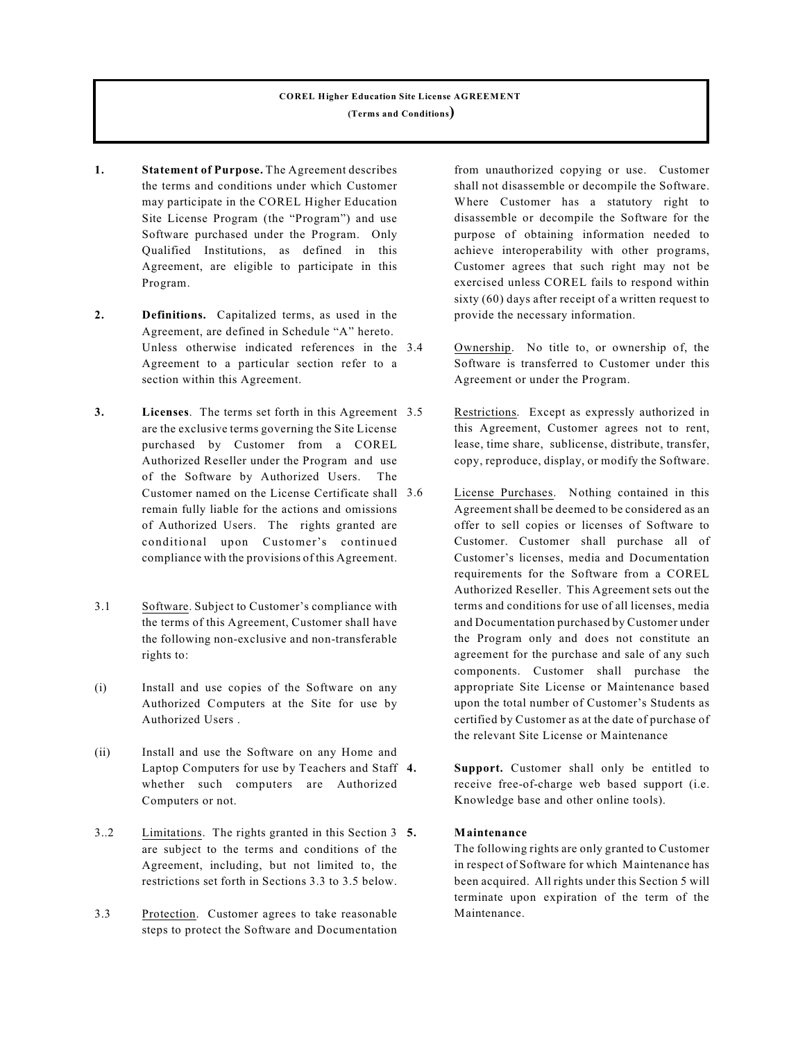# **COREL Higher Education Site License AGREEMENT (Terms and Conditions)**

- **1. Statement of Purpose.** The Agreement describes the terms and conditions under which Customer may participate in the COREL Higher Education Site License Program (the "Program") and use Software purchased under the Program. Only Qualified Institutions, as defined in this Agreement, are eligible to participate in this Program.
- **2. Definitions.** Capitalized terms, as used in the Agreement, are defined in Schedule "A" hereto. Unless otherwise indicated references in the 3.4 Agreement to a particular section refer to a section within this Agreement.
- **3. Licenses**. The terms set forth in this Agreement are the exclusive terms governing the Site License purchased by Customer from a COREL Authorized Reseller under the Program and use of the Software by Authorized Users. The Customer named on the License Certificate shall remain fully liable for the actions and omissions of Authorized Users. The rights granted are conditional upon Customer's continued compliance with the provisions of this Agreement.
- 3.1 Software. Subject to Customer's compliance with the terms of this Agreement, Customer shall have the following non-exclusive and non-transferable rights to:
- (i) Install and use copies of the Software on any Authorized Computers at the Site for use by Authorized Users .
- (ii) Install and use the Software on any Home and Laptop Computers for use by Teachers and Staff 4. whether such computers are Authorized Computers or not.
- 3..2 Limitations. The rights granted in this Section 3 5. are subject to the terms and conditions of the Agreement, including, but not limited to, the restrictions set forth in Sections 3.3 to 3.5 below.
- 3.3 Protection. Customer agrees to take reasonable steps to protect the Software and Documentation

from unauthorized copying or use. Customer shall not disassemble or decompile the Software. Where Customer has a statutory right to disassemble or decompile the Software for the purpose of obtaining information needed to achieve interoperability with other programs, Customer agrees that such right may not be exercised unless COREL fails to respond within sixty (60) days after receipt of a written request to provide the necessary information.

- Ownership. No title to, or ownership of, the Software is transferred to Customer under this Agreement or under the Program.
- Restrictions. Except as expressly authorized in this Agreement, Customer agrees not to rent, lease, time share, sublicense, distribute, transfer, copy, reproduce, display, or modify the Software.
- License Purchases. Nothing contained in this Agreement shall be deemed to be considered as an offer to sell copies or licenses of Software to Customer. Customer shall purchase all of Customer's licenses, media and Documentation requirements for the Software from a COREL Authorized Reseller. This Agreement sets out the terms and conditions for use of all licenses, media and Documentation purchased by Customer under the Program only and does not constitute an agreement for the purchase and sale of any such components. Customer shall purchase the appropriate Site License or Maintenance based upon the total number of Customer's Students as certified by Customer as at the date of purchase of the relevant Site License or Maintenance
	- Support. Customer shall only be entitled to receive free-of-charge web based support (i.e. Knowledge base and other online tools).

## **5. Maintenance**

The following rights are only granted to Customer in respect of Software for which Maintenance has been acquired. All rights under this Section 5 will terminate upon expiration of the term of the Maintenance.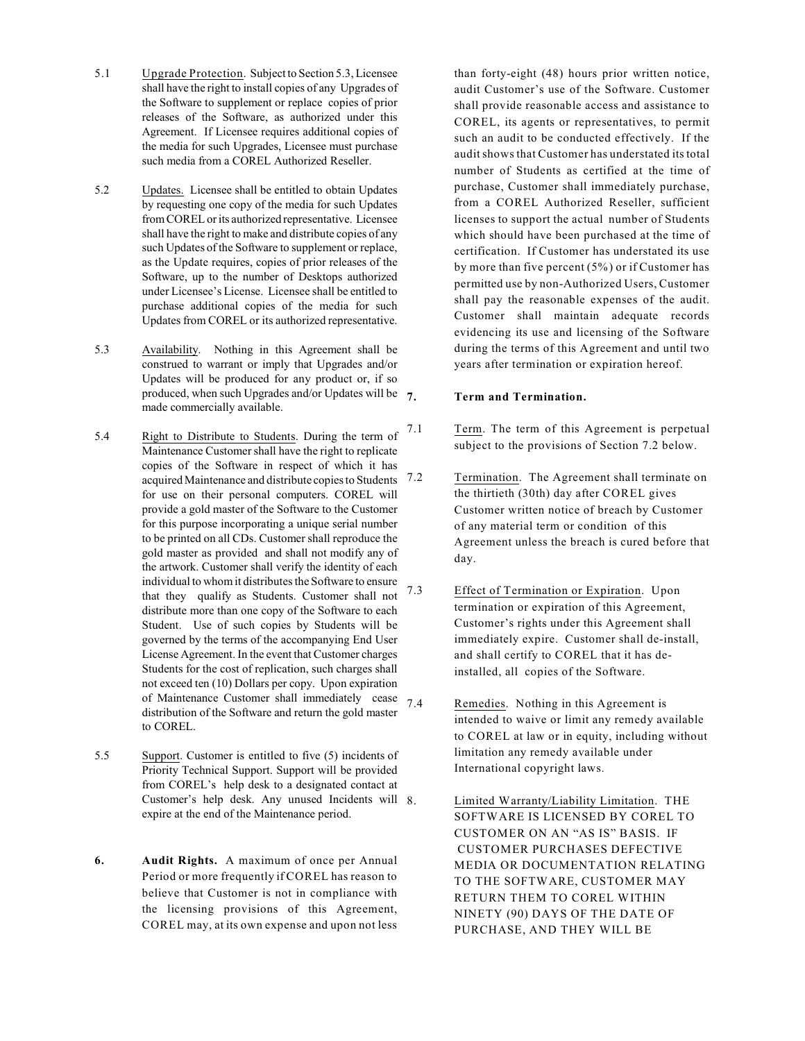- 5.1 Upgrade Protection. Subject to Section 5.3, Licensee shall have the right to install copies of any Upgrades of the Software to supplement or replace copies of prior releases of the Software, as authorized under this Agreement. If Licensee requires additional copies of the media for such Upgrades, Licensee must purchase such media from a COREL Authorized Reseller.
- 5.2 Updates. Licensee shall be entitled to obtain Updates by requesting one copy of the media for such Updates from COREL or its authorized representative. Licensee shall have the right to make and distribute copies of any such Updates of the Software to supplement or replace, as the Update requires, copies of prior releases of the Software, up to the number of Desktops authorized under Licensee's License. Licensee shall be entitled to purchase additional copies of the media for such Updates from COREL or its authorized representative.
- 5.3 Availability. Nothing in this Agreement shall be construed to warrant or imply that Upgrades and/or Updates will be produced for any product or, if so produced, when such Upgrades and/or Updates will be  $\tau$ . made commercially available.
- 5.4 Right to Distribute to Students. During the term of  $7.1$ Maintenance Customer shall have the right to replicate copies of the Software in respect of which it has acquired Maintenance and distribute copies to Students 7.2 for use on their personal computers. COREL will provide a gold master of the Software to the Customer for this purpose incorporating a unique serial number to be printed on all CDs. Customer shall reproduce the gold master as provided and shall not modify any of the artwork. Customer shall verify the identity of each individual to whom it distributes the Software to ensure that they qualify as Students. Customer shall not distribute more than one copy of the Software to each Student. Use of such copies by Students will be governed by the terms of the accompanying End User License Agreement. In the event that Customer charges Students for the cost of replication, such charges shall not exceed ten (10) Dollars per copy. Upon expiration of Maintenance Customer shall immediately cease  $7.4$ distribution of the Software and return the gold master to COREL.
- 5.5 Support. Customer is entitled to five (5) incidents of Priority Technical Support. Support will be provided from COREL's help desk to a designated contact at Customer's help desk. Any unused Incidents will expire at the end of the Maintenance period.
- **6. Audit Rights.** A maximum of once per Annual Period or more frequently if COREL has reason to believe that Customer is not in compliance with the licensing provisions of this Agreement, COREL may, at its own expense and upon not less

than forty-eight (48) hours prior written notice, audit Customer's use of the Software. Customer shall provide reasonable access and assistance to COREL, its agents or representatives, to permit such an audit to be conducted effectively. If the audit shows that Customer has understated its total number of Students as certified at the time of purchase, Customer shall immediately purchase, from a COREL Authorized Reseller, sufficient licenses to support the actual number of Students which should have been purchased at the time of certification. If Customer has understated its use by more than five percent (5%) or if Customer has permitted use by non-Authorized Users, Customer shall pay the reasonable expenses of the audit. Customer shall maintain adequate records evidencing its use and licensing of the Software during the terms of this Agreement and until two years after termination or expiration hereof.

## **7. Term and Termination.**

- Term. The term of this Agreement is perpetual subject to the provisions of Section 7.2 below.
- Termination. The Agreement shall terminate on the thirtieth (30th) day after COREL gives Customer written notice of breach by Customer of any material term or condition of this Agreement unless the breach is cured before that day.
- 7.3 Effect of Termination or Expiration. Upon termination or expiration of this Agreement, Customer's rights under this Agreement shall immediately expire. Customer shall de-install, and shall certify to COREL that it has deinstalled, all copies of the Software.
	- Remedies. Nothing in this Agreement is intended to waive or limit any remedy available to COREL at law or in equity, including without limitation any remedy available under International copyright laws.
		- Limited Warranty/Liability Limitation. THE SOFTWARE IS LICENSED BY COREL TO CUSTOMER ON AN "AS IS" BASIS. IF CUSTOMER PURCHASES DEFECTIVE MEDIA OR DOCUMENTATION RELATING TO THE SOFTWARE, CUSTOMER MAY RETURN THEM TO COREL WITHIN NINETY (90) DAYS OF THE DATE OF PURCHASE, AND THEY WILL BE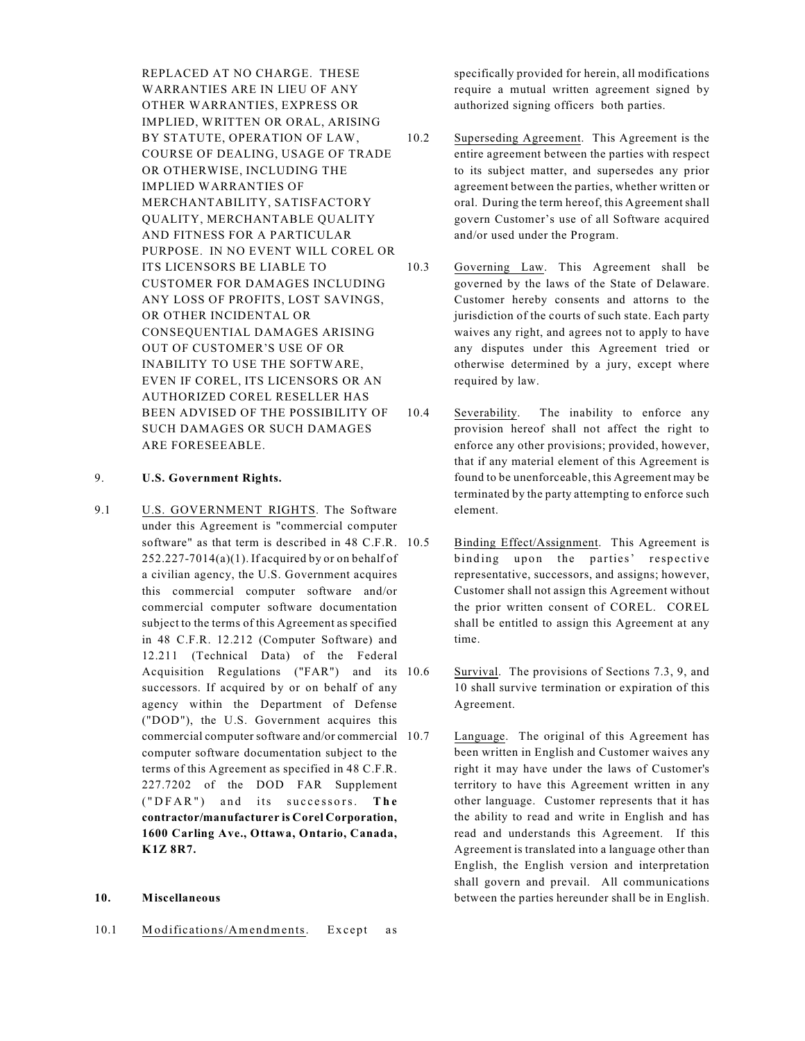REPLACED AT NO CHARGE. THESE WARRANTIES ARE IN LIEU OF ANY OTHER WARRANTIES, EXPRESS OR IMPLIED, WRITTEN OR ORAL, ARISING BY STATUTE, OPERATION OF LAW, COURSE OF DEALING, USAGE OF TRADE OR OTHERWISE, INCLUDING THE IMPLIED WARRANTIES OF MERCHANTABILITY, SATISFACTORY QUALITY, MERCHANTABLE QUALITY AND FITNESS FOR A PARTICULAR PURPOSE. IN NO EVENT WILL COREL OR ITS LICENSORS BE LIABLE TO CUSTOMER FOR DAMAGES INCLUDING ANY LOSS OF PROFITS, LOST SAVINGS, OR OTHER INCIDENTAL OR CONSEQUENTIAL DAMAGES ARISING OUT OF CUSTOMER'S USE OF OR INABILITY TO USE THE SOFTWARE, EVEN IF COREL, ITS LICENSORS OR AN AUTHORIZED COREL RESELLER HAS BEEN ADVISED OF THE POSSIBILITY OF SUCH DAMAGES OR SUCH DAMAGES ARE FORESEEABLE.

# 9. **U.S. Government Rights.**

9.1 U.S. GOVERNMENT RIGHTS. The Software under this Agreement is "commercial computer software" as that term is described in 48 C.F.R.  $252.227 - 7014(a)(1)$ . If acquired by or on behalf of a civilian agency, the U.S. Government acquires this commercial computer software and/or commercial computer software documentation subject to the terms of this Agreement as specified in 48 C.F.R. 12.212 (Computer Software) and 12.211 (Technical Data) of the Federal Acquisition Regulations ("FAR") and its successors. If acquired by or on behalf of any agency within the Department of Defense ("DOD"), the U.S. Government acquires this commercial computer software and/or commercial computer software documentation subject to the terms of this Agreement as specified in 48 C.F.R. 227.7202 of the DOD FAR Supplement ( " D F A R" ) and its succe sso r s. **The contractor/manufacturer is Corel Corporation, 1600 Carling Ave., Ottawa, Ontario, Canada, K1Z 8R7.**

#### **10. Miscellaneous**

10.1 Modifications/Amendments. Except as

specifically provided for herein, all modifications require a mutual written agreement signed by authorized signing officers both parties.

- 10.2 Superseding Agreement. This Agreement is the entire agreement between the parties with respect to its subject matter, and supersedes any prior agreement between the parties, whether written or oral. During the term hereof, this Agreement shall govern Customer's use of all Software acquired and/or used under the Program.
- 10.3 Governing Law. This Agreement shall be governed by the laws of the State of Delaware. Customer hereby consents and attorns to the jurisdiction of the courts of such state. Each party waives any right, and agrees not to apply to have any disputes under this Agreement tried or otherwise determined by a jury, except where required by law.
- 10.4 Severability. The inability to enforce any provision hereof shall not affect the right to enforce any other provisions; provided, however, that if any material element of this Agreement is found to be unenforceable, this Agreement may be terminated by the party attempting to enforce such element.
	- Binding Effect/Assignment. This Agreement is binding upon the parties' respective representative, successors, and assigns; however, Customer shall not assign this Agreement without the prior written consent of COREL. COREL shall be entitled to assign this Agreement at any time.
	- Survival. The provisions of Sections 7.3, 9, and 10 shall survive termination or expiration of this Agreement.
	- Language. The original of this Agreement has been written in English and Customer waives any right it may have under the laws of Customer's territory to have this Agreement written in any other language. Customer represents that it has the ability to read and write in English and has read and understands this Agreement. If this Agreement is translated into a language other than English, the English version and interpretation shall govern and prevail. All communications between the parties hereunder shall be in English.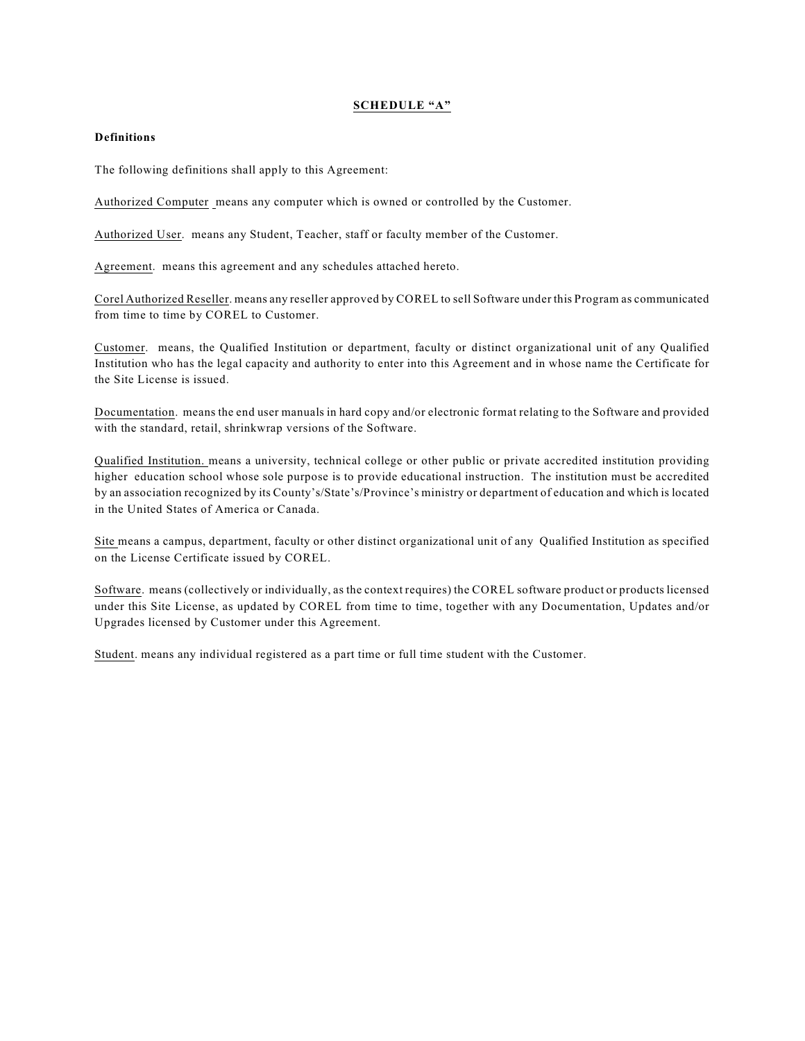### **SCHEDULE "A"**

#### **Definitions**

The following definitions shall apply to this Agreement:

Authorized Computer means any computer which is owned or controlled by the Customer.

Authorized User. means any Student, Teacher, staff or faculty member of the Customer.

Agreement. means this agreement and any schedules attached hereto.

Corel Authorized Reseller. means any reseller approved by COREL to sell Software under this Program as communicated from time to time by COREL to Customer.

Customer. means, the Qualified Institution or department, faculty or distinct organizational unit of any Qualified Institution who has the legal capacity and authority to enter into this Agreement and in whose name the Certificate for the Site License is issued.

Documentation. means the end user manuals in hard copy and/or electronic format relating to the Software and provided with the standard, retail, shrinkwrap versions of the Software.

Qualified Institution. means a university, technical college or other public or private accredited institution providing higher education school whose sole purpose is to provide educational instruction. The institution must be accredited by an association recognized by its County's/State's/Province's ministry or department of education and which is located in the United States of America or Canada.

Site means a campus, department, faculty or other distinct organizational unit of any Qualified Institution as specified on the License Certificate issued by COREL.

Software. means (collectively or individually, as the context requires) the COREL software product or products licensed under this Site License, as updated by COREL from time to time, together with any Documentation, Updates and/or Upgrades licensed by Customer under this Agreement.

Student. means any individual registered as a part time or full time student with the Customer.